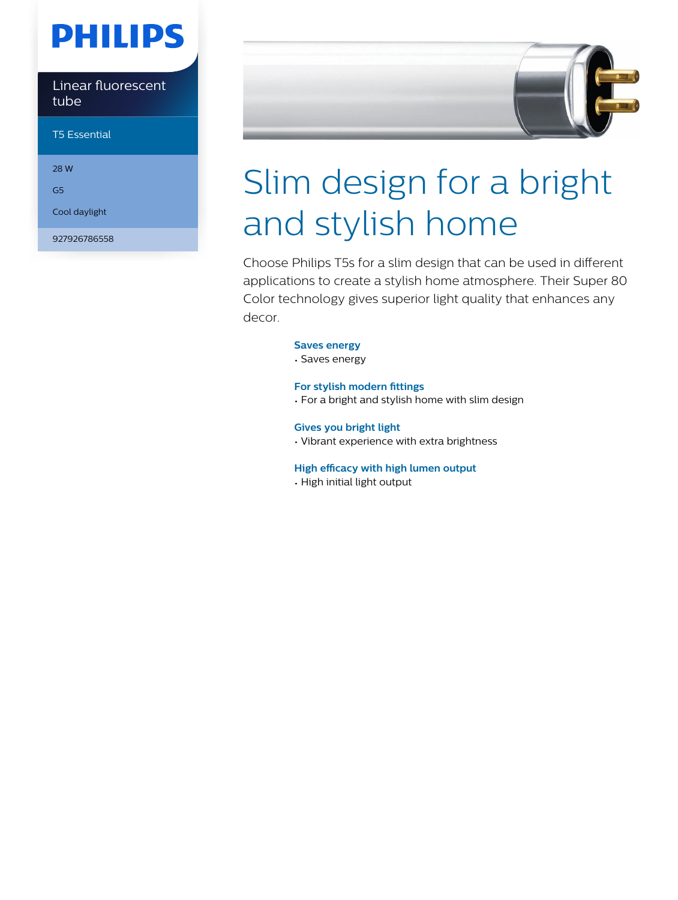# **PHILIPS**

Linear fluorescent tube

T5 Essential

28 W

G5

Cool daylight

927926786558



# Slim design for a bright and stylish home

Choose Philips T5s for a slim design that can be used in different applications to create a stylish home atmosphere. Their Super 80 Color technology gives superior light quality that enhances any decor.

#### **Saves energy**

• Saves energy

#### **For stylish modern fittings**

• For a bright and stylish home with slim design

#### **Gives you bright light**

• Vibrant experience with extra brightness

#### **High efficacy with high lumen output**

• High initial light output